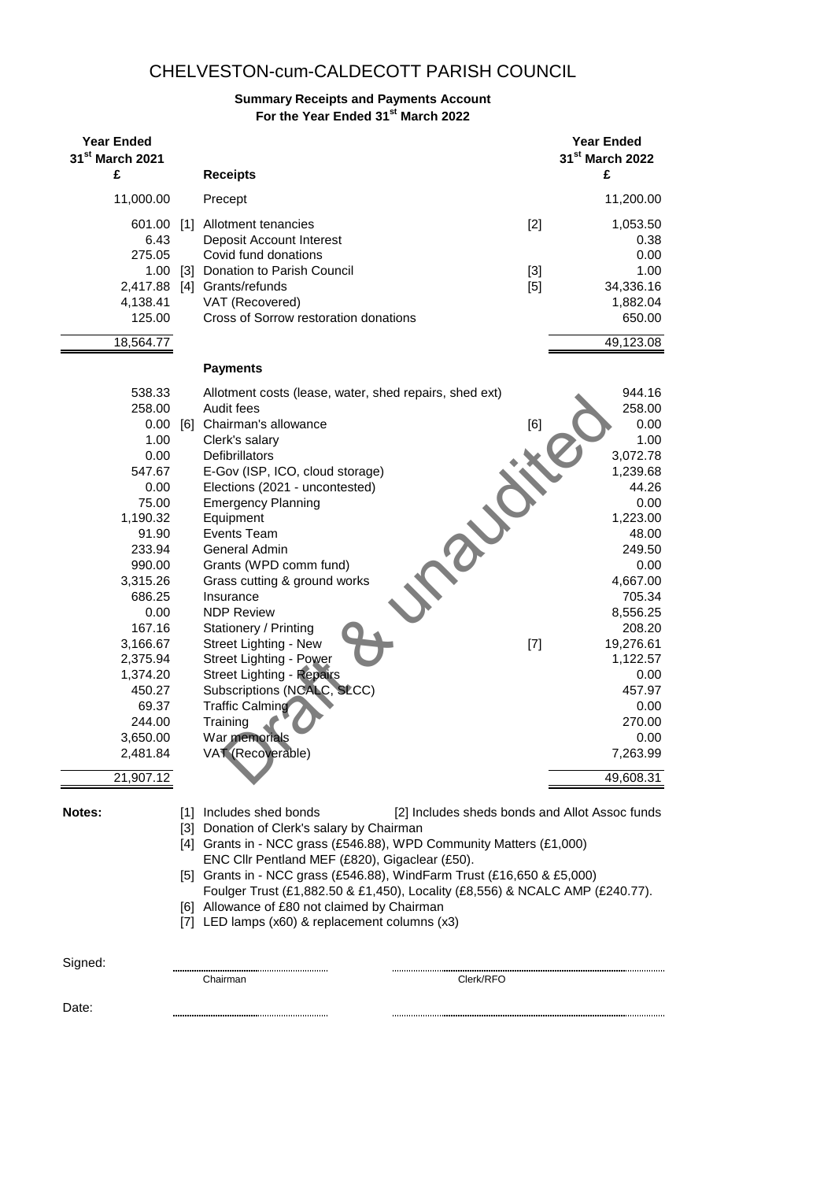## CHELVESTON-cum-CALDECOTT PARISH COUNCIL

# **Summary Receipts and Payments Account**

**For the Year Ended 31st March 2022**

| <b>Year Ended</b><br>31 <sup>st</sup> March 2021<br>£                                                                                                                                                                                                      | <b>Receipts</b>                                                                                                                                                                                                                                                                                                                                                                                                                                                                                                                                                                                                    |                         | <b>Year Ended</b><br>31 <sup>st</sup> March 2022<br>£                                                                                                                                                                                                      |
|------------------------------------------------------------------------------------------------------------------------------------------------------------------------------------------------------------------------------------------------------------|--------------------------------------------------------------------------------------------------------------------------------------------------------------------------------------------------------------------------------------------------------------------------------------------------------------------------------------------------------------------------------------------------------------------------------------------------------------------------------------------------------------------------------------------------------------------------------------------------------------------|-------------------------|------------------------------------------------------------------------------------------------------------------------------------------------------------------------------------------------------------------------------------------------------------|
| 11,000.00                                                                                                                                                                                                                                                  | Precept                                                                                                                                                                                                                                                                                                                                                                                                                                                                                                                                                                                                            |                         | 11,200.00                                                                                                                                                                                                                                                  |
| 601.00<br>6.43<br>275.05<br>4,138.41<br>125.00                                                                                                                                                                                                             | [1] Allotment tenancies<br>Deposit Account Interest<br>Covid fund donations<br>1.00 [3] Donation to Parish Council<br>2,417.88 [4] Grants/refunds<br>VAT (Recovered)<br>Cross of Sorrow restoration donations                                                                                                                                                                                                                                                                                                                                                                                                      | $[2]$<br>$[3]$<br>$[5]$ | 1,053.50<br>0.38<br>0.00<br>1.00<br>34,336.16<br>1,882.04<br>650.00                                                                                                                                                                                        |
| 18,564.77                                                                                                                                                                                                                                                  |                                                                                                                                                                                                                                                                                                                                                                                                                                                                                                                                                                                                                    |                         | 49,123.08                                                                                                                                                                                                                                                  |
|                                                                                                                                                                                                                                                            | <b>Payments</b>                                                                                                                                                                                                                                                                                                                                                                                                                                                                                                                                                                                                    |                         |                                                                                                                                                                                                                                                            |
| 538.33<br>258.00<br>0.00<br>1.00<br>0.00<br>547.67<br>0.00<br>75.00<br>1,190.32<br>91.90<br>233.94<br>990.00<br>3,315.26<br>686.25<br>0.00<br>167.16<br>3,166.67<br>2,375.94<br>1,374.20<br>450.27<br>69.37<br>244.00<br>3,650.00<br>2,481.84<br>21,907.12 | Allotment costs (lease, water, shed repairs, shed ext)<br>Audit fees<br>[6] Chairman's allowance<br>Clerk's salary<br><b>Defibrillators</b><br>E-Gov (ISP, ICO, cloud storage)<br>Elections (2021 - uncontested)<br><b>Emergency Planning</b><br>Equipment<br>Events Team<br>General Admin<br>Grants (WPD comm fund)<br>Grass cutting & ground works<br>Insurance<br><b>NDP Review</b><br>Stationery / Printing<br>Street Lighting - New<br>Street Lighting - Power<br><b>Street Lighting - Repairs</b><br>Subscriptions (NCALC, SLCC)<br><b>Traffic Calming</b><br>Training<br>War memorials<br>VAT (Recoverable) | [6]<br>$[7]$            | 944.16<br>258.00<br>0.00<br>1.00<br>3,072.78<br>1,239.68<br>44.26<br>0.00<br>1,223.00<br>48.00<br>249.50<br>0.00<br>4,667.00<br>705.34<br>8,556.25<br>208.20<br>19,276.61<br>1,122.57<br>0.00<br>457.97<br>0.00<br>270.00<br>0.00<br>7,263.99<br>49,608.31 |
| Notes:                                                                                                                                                                                                                                                     | [1] Includes shed bonds<br>[3] Donation of Clerk's salary by Chairman<br>[4] Grants in - NCC grass (£546.88), WPD Community Matters (£1,000)<br>ENC Cllr Pentland MEF (£820), Gigaclear (£50).<br>[5] Grants in - NCC grass (£546.88), WindFarm Trust (£16,650 & £5,000)<br>Foulger Trust (£1,882.50 & £1,450), Locality (£8,556) & NCALC AMP (£240.77).<br>[6] Allowance of £80 not claimed by Chairman<br>[7] LED lamps (x60) & replacement columns (x3)                                                                                                                                                         |                         | [2] Includes sheds bonds and Allot Assoc funds                                                                                                                                                                                                             |
| Signed:                                                                                                                                                                                                                                                    | Chairman                                                                                                                                                                                                                                                                                                                                                                                                                                                                                                                                                                                                           | Clerk/RFO               |                                                                                                                                                                                                                                                            |
| Date:                                                                                                                                                                                                                                                      |                                                                                                                                                                                                                                                                                                                                                                                                                                                                                                                                                                                                                    |                         |                                                                                                                                                                                                                                                            |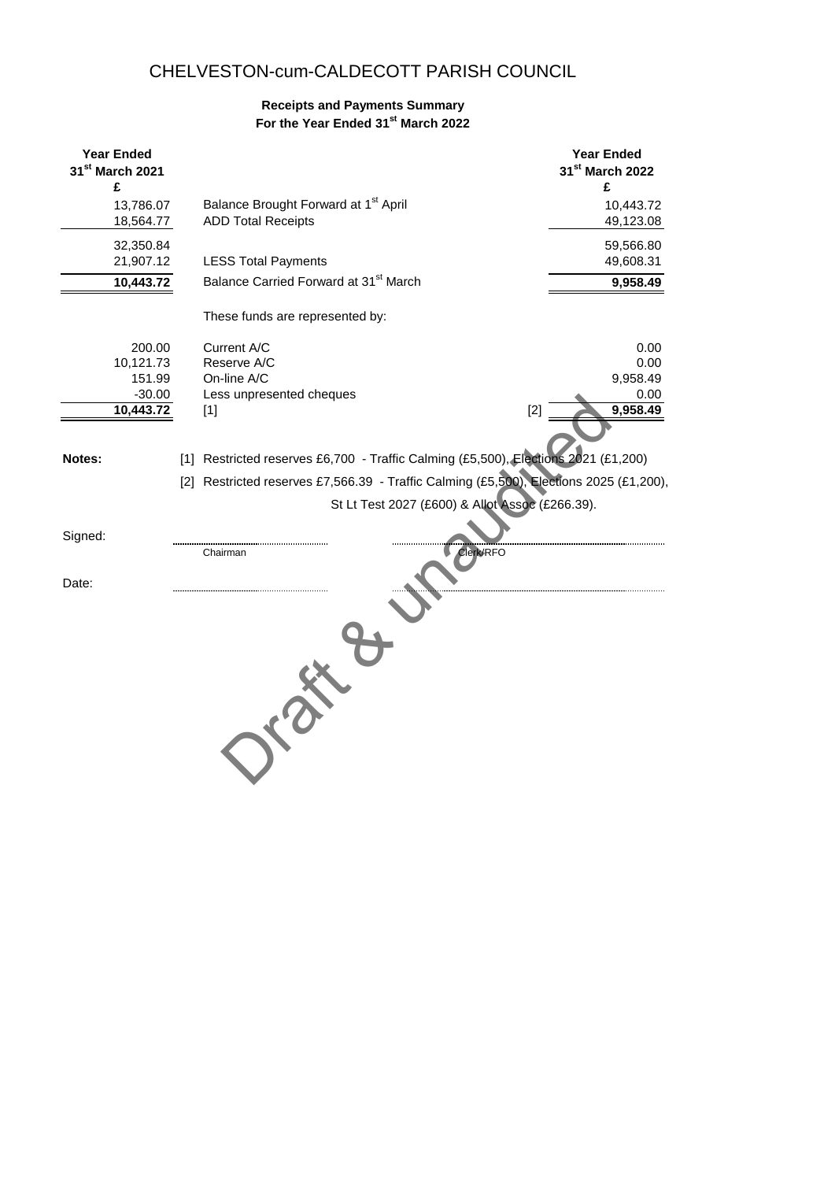## CHELVESTON-cum-CALDECOTT PARISH COUNCIL

### **Receipts and Payments Summary For the Year Ended 31st March 2022**

| <b>Year Ended</b><br>31 <sup>st</sup> March 2021<br>£ |                        |                                                                                        | <b>Year Ended</b><br>31st March 2022<br>£ |
|-------------------------------------------------------|------------------------|----------------------------------------------------------------------------------------|-------------------------------------------|
|                                                       | 13,786.07<br>18,564.77 | Balance Brought Forward at 1 <sup>st</sup> April<br><b>ADD Total Receipts</b>          | 10,443.72<br>49,123.08                    |
|                                                       | 32,350.84<br>21,907.12 | <b>LESS Total Payments</b>                                                             | 59,566.80<br>49,608.31                    |
|                                                       | 10,443.72              | Balance Carried Forward at 31 <sup>st</sup> March                                      | 9,958.49                                  |
|                                                       |                        | These funds are represented by:                                                        |                                           |
|                                                       | 200.00                 | Current A/C                                                                            | 0.00                                      |
|                                                       | 10,121.73              | Reserve A/C                                                                            | 0.00                                      |
|                                                       | 151.99                 | On-line A/C                                                                            | 9,958.49                                  |
|                                                       | $-30.00$<br>10,443.72  | Less unpresented cheques<br>$[2]$                                                      | 0.00<br>9,958.49                          |
|                                                       |                        | $[1]$                                                                                  |                                           |
| Notes:                                                |                        | [1] Restricted reserves £6,700 - Traffic Calming (£5,500), Elections 2021 (£1,200)     |                                           |
|                                                       |                        | [2] Restricted reserves £7,566.39 - Traffic Calming (£5,500), Elections 2025 (£1,200), |                                           |
|                                                       |                        | St Lt Test 2027 (£600) & Allot Assoc (£266.39).                                        |                                           |
|                                                       |                        |                                                                                        |                                           |
| Signed:                                               |                        |                                                                                        |                                           |
|                                                       |                        | Clerk/RFO<br>Chairman                                                                  |                                           |
| Date:                                                 |                        |                                                                                        |                                           |
|                                                       |                        |                                                                                        |                                           |
|                                                       |                        |                                                                                        |                                           |
|                                                       |                        |                                                                                        |                                           |
|                                                       |                        |                                                                                        |                                           |
|                                                       |                        |                                                                                        |                                           |
|                                                       |                        |                                                                                        |                                           |
|                                                       |                        |                                                                                        |                                           |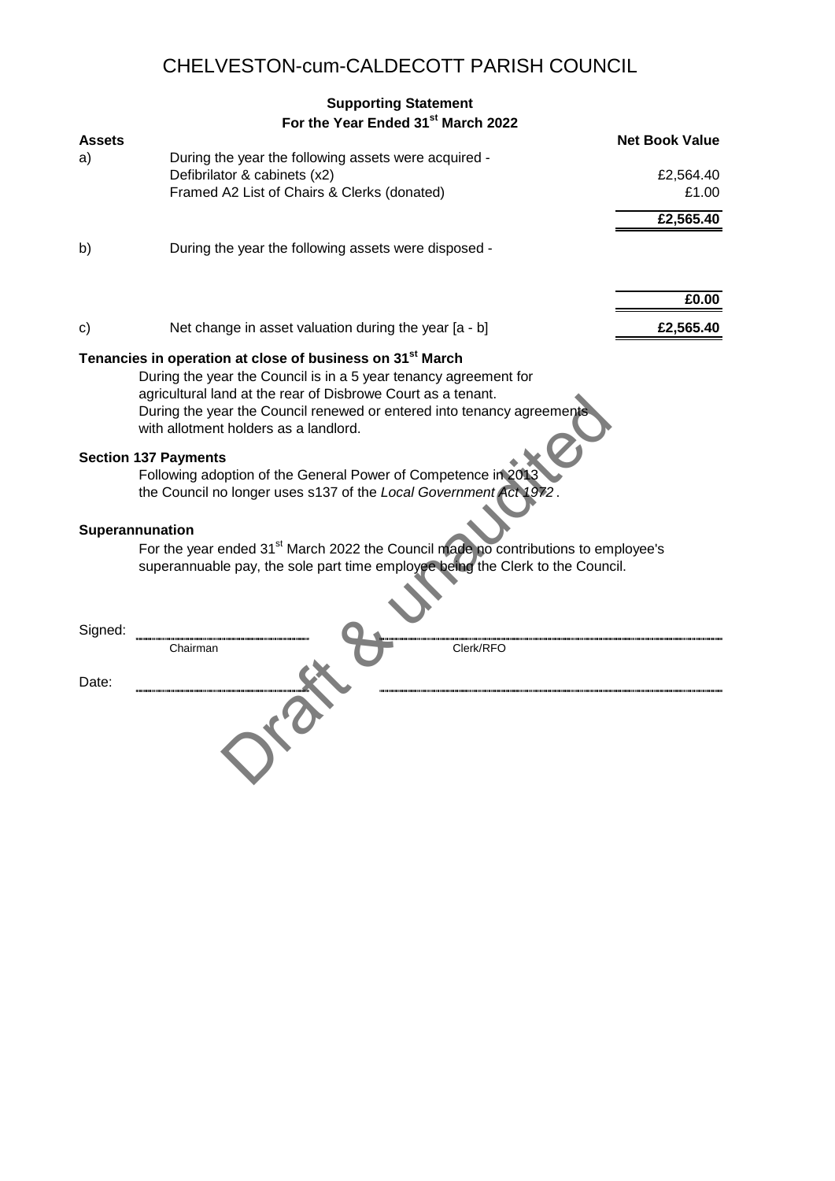# CHELVESTON-cum-CALDECOTT PARISH COUNCIL

|               | <b>Supporting Statement</b>                                                                                                                                                                                                                                                                                                                                                                                                                                                                      |                       |
|---------------|--------------------------------------------------------------------------------------------------------------------------------------------------------------------------------------------------------------------------------------------------------------------------------------------------------------------------------------------------------------------------------------------------------------------------------------------------------------------------------------------------|-----------------------|
|               | For the Year Ended 31st March 2022                                                                                                                                                                                                                                                                                                                                                                                                                                                               |                       |
| <b>Assets</b> |                                                                                                                                                                                                                                                                                                                                                                                                                                                                                                  | <b>Net Book Value</b> |
| a)            | During the year the following assets were acquired -                                                                                                                                                                                                                                                                                                                                                                                                                                             |                       |
|               | Defibrilator & cabinets (x2)                                                                                                                                                                                                                                                                                                                                                                                                                                                                     | £2,564.40             |
|               | Framed A2 List of Chairs & Clerks (donated)                                                                                                                                                                                                                                                                                                                                                                                                                                                      | £1.00                 |
|               |                                                                                                                                                                                                                                                                                                                                                                                                                                                                                                  | £2,565.40             |
| b)            | During the year the following assets were disposed -                                                                                                                                                                                                                                                                                                                                                                                                                                             |                       |
|               |                                                                                                                                                                                                                                                                                                                                                                                                                                                                                                  | £0.00                 |
| $\mathsf{c}$  | Net change in asset valuation during the year [a - b]                                                                                                                                                                                                                                                                                                                                                                                                                                            | £2,565.40             |
|               | Tenancies in operation at close of business on 31 <sup>st</sup> March<br>During the year the Council is in a 5 year tenancy agreement for<br>agricultural land at the rear of Disbrowe Court as a tenant.<br>During the year the Council renewed or entered into tenancy agreements<br>with allotment holders as a landlord.<br><b>Section 137 Payments</b><br>Following adoption of the General Power of Competence in 2013<br>the Council no longer uses s137 of the Local Government Act 1972 |                       |
|               | Superannunation<br>For the year ended 31 <sup>st</sup> March 2022 the Council made no contributions to employee's<br>superannuable pay, the sole part time employee being the Clerk to the Council.                                                                                                                                                                                                                                                                                              |                       |
| Signed:       | Chairman<br>Clerk/RFO                                                                                                                                                                                                                                                                                                                                                                                                                                                                            |                       |
| Date:         |                                                                                                                                                                                                                                                                                                                                                                                                                                                                                                  |                       |